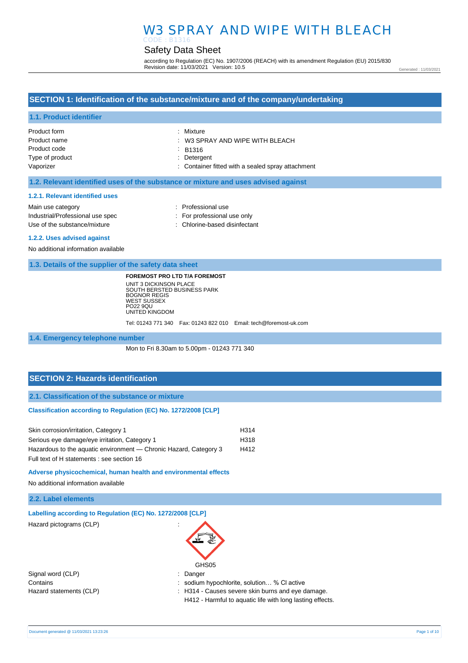#### Safety Data Sheet CODE : B1316

according to Regulation (EC) No. 1907/2006 (REACH) with its amendment Regulation (EU) 2015/830 Revision date: 11/03/2021 Version: 10.5

Generated : 11/03/2021

### **SECTION 1: Identification of the substance/mixture and of the company/undertaking**

#### **1.1. Product identifier**

| Product form    | : Mixture                                         |
|-----------------|---------------------------------------------------|
| Product name    | $\therefore$ W3 SPRAY AND WIPE WITH BLEACH        |
| Product code    | ÷ B1316                                           |
| Type of product | : Detergent                                       |
| Vaporizer       | : Container fitted with a sealed spray attachment |

#### **1.2. Relevant identified uses of the substance or mixture and uses advised against**

#### **1.2.1. Relevant identified uses**

Main use category **Example 20** and 20 and 20 and 20 and 20 and 20 and 20 and 20 and 20 and 20 and 20 and 20 and 20 and 20 and 20 and 20 and 20 and 20 and 20 and 20 and 20 and 20 and 20 and 20 and 20 and 20 and 20 and 20 an Industrial/Professional use spec : For professional use only Use of the substance/mixture : Chlorine-based disinfectant

#### **1.2.2. Uses advised against**

No additional information available

#### **1.3. Details of the supplier of the safety data sheet**

**FOREMOST PRO LTD T/A FOREMOST**

UNIT 3 DICKINSON PLACE SOUTH BERSTED BUSINESS PARK BOGNOR REGIS WEST SUSSEX PO22 9QU UNITED KINGDOM Tel: 01243 771 340 Fax: 01243 822 010 Email: tech@foremost-uk.com

**1.4. Emergency telephone number**

Mon to Fri 8.30am to 5.00pm - 01243 771 340

#### **SECTION 2: Hazards identification**

**2.1. Classification of the substance or mixture**

#### **Classification according to Regulation (EC) No. 1272/2008 [CLP]**

| Skin corrosion/irritation, Category 1                             | H314 |
|-------------------------------------------------------------------|------|
| Serious eye damage/eye irritation, Category 1                     | H318 |
| Hazardous to the aquatic environment — Chronic Hazard, Category 3 | H412 |
| Full text of H statements : see section 16                        |      |

**Adverse physicochemical, human health and environmental effects** 

No additional information available

#### **2.2. Label elements**

| Labelling according to Regulation (EC) No. 1272/2008 [CLP] |  |  |  |  |
|------------------------------------------------------------|--|--|--|--|
|------------------------------------------------------------|--|--|--|--|

Hazard pictograms (CLP) :



Contains : sodium hypochlorite, solution… % Cl active

Hazard statements (CLP)  $\qquad \qquad$ : H314 - Causes severe skin burns and eye damage.

H412 - Harmful to aquatic life with long lasting effects.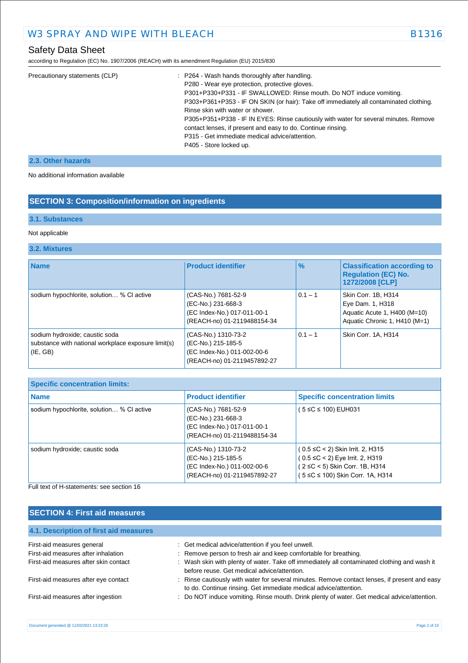# Safety Data Sheet

according to Regulation (EC) No. 1907/2006 (REACH) with its amendment Regulation (EU) 2015/830

| Precautionary statements (CLP) | : P264 - Wash hands thoroughly after handling.                                         |
|--------------------------------|----------------------------------------------------------------------------------------|
|                                | P280 - Wear eye protection, protective gloves.                                         |
|                                | P301+P330+P331 - IF SWALLOWED: Rinse mouth. Do NOT induce vomiting.                    |
|                                | P303+P361+P353 - IF ON SKIN (or hair): Take off immediately all contaminated clothing. |
|                                | Rinse skin with water or shower.                                                       |
|                                | P305+P351+P338 - IF IN EYES: Rinse cautiously with water for several minutes. Remove   |
|                                | contact lenses, if present and easy to do. Continue rinsing.                           |
|                                | P315 - Get immediate medical advice/attention.                                         |
|                                | P405 - Store locked up.                                                                |
|                                |                                                                                        |

### **2.3. Other hazards**

No additional information available

# **SECTION 3: Composition/information on ingredients**

#### **3.1. Substances**

#### Not applicable

### **3.2. Mixtures**

| <b>Name</b>                                                                                           | <b>Product identifier</b>                                                                               | $\frac{9}{6}$ | <b>Classification according to</b><br><b>Regulation (EC) No.</b><br>1272/2008 [CLP]                      |
|-------------------------------------------------------------------------------------------------------|---------------------------------------------------------------------------------------------------------|---------------|----------------------------------------------------------------------------------------------------------|
| sodium hypochlorite, solution % CI active                                                             | (CAS-No.) 7681-52-9<br>(EC-No.) 231-668-3<br>(EC Index-No.) 017-011-00-1<br>(REACH-no) 01-2119488154-34 | $0.1 - 1$     | Skin Corr. 1B, H314<br>Eye Dam. 1, H318<br>Aquatic Acute 1, H400 (M=10)<br>Aquatic Chronic 1, H410 (M=1) |
| sodium hydroxide; caustic soda<br>substance with national workplace exposure limit(s)<br>$ $ (IE, GB) | (CAS-No.) 1310-73-2<br>(EC-No.) 215-185-5<br>(EC Index-No.) 011-002-00-6<br>(REACH-no) 01-2119457892-27 | $0.1 - 1$     | Skin Corr. 1A, H314                                                                                      |

| <b>Specific concentration limits:</b>     |                                                                                                         |                                                                                                                                                       |
|-------------------------------------------|---------------------------------------------------------------------------------------------------------|-------------------------------------------------------------------------------------------------------------------------------------------------------|
| <b>Name</b>                               | <b>Product identifier</b>                                                                               | <b>Specific concentration limits</b>                                                                                                                  |
| sodium hypochlorite, solution % CI active | (CAS-No.) 7681-52-9<br>(EC-No.) 231-668-3<br>(EC Index-No.) 017-011-00-1<br>(REACH-no) 01-2119488154-34 | 5 ≤C ≤ 100) EUH031                                                                                                                                    |
| sodium hydroxide; caustic soda            | (CAS-No.) 1310-73-2<br>(EC-No.) 215-185-5<br>(EC Index-No.) 011-002-00-6<br>(REACH-no) 01-2119457892-27 | $(0.5 \leq C < 2)$ Skin Irrit. 2, H315<br>$(0.5 \leq C < 2)$ Eye Irrit. 2, H319<br>(2 ≤C < 5) Skin Corr. 1B, H314<br>(5 ≤C ≤ 100) Skin Corr. 1A, H314 |

Full text of H-statements: see section 16

# **SECTION 4: First aid measures**

| 4.1. Description of first aid measures |                                                                                                                                                                   |
|----------------------------------------|-------------------------------------------------------------------------------------------------------------------------------------------------------------------|
| First-aid measures general             | : Get medical advice/attention if you feel unwell.                                                                                                                |
| First-aid measures after inhalation    | : Remove person to fresh air and keep comfortable for breathing.                                                                                                  |
| First-aid measures after skin contact  | : Wash skin with plenty of water. Take off immediately all contaminated clothing and wash it<br>before reuse. Get medical advice/attention.                       |
| First-aid measures after eye contact   | : Rinse cautiously with water for several minutes. Remove contact lenses, if present and easy<br>to do. Continue rinsing. Get immediate medical advice/attention. |
| First-aid measures after ingestion     | : Do NOT induce vomiting. Rinse mouth. Drink plenty of water. Get medical advice/attention.                                                                       |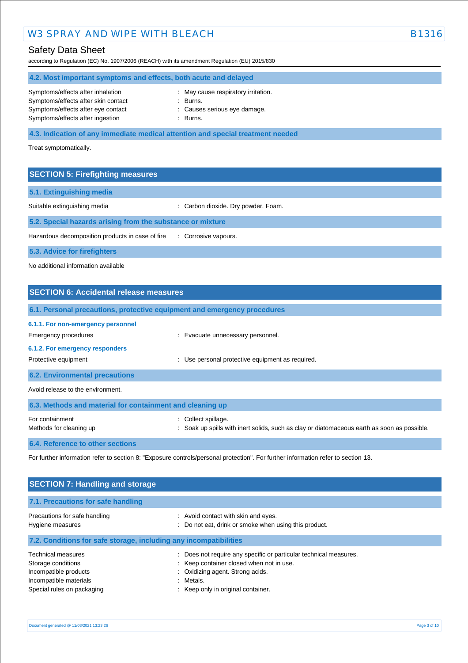# W3 SPRAY AND WIPE WITH BLEACH B1316 CONTROLLER B131

# Safety Data Sheet

according to Regulation (EC) No. 1907/2006 (REACH) with its amendment Regulation (EU) 2015/830

#### **4.2. Most important symptoms and effects, both acute and delayed**

| Symptoms/effects after inhalation   |  |
|-------------------------------------|--|
| Symptoms/effects after skin contact |  |
| Symptoms/effects after eye contact  |  |
| Symptoms/effects after ingestion    |  |

- : May cause respiratory irritation. : Burns. : Causes serious eye damage.
- $Burns$ .

## **4.3. Indication of any immediate medical attention and special treatment needed**

Treat symptomatically.

### **SECTION 5: Firefighting measures**

| 5.1. Extinguishing media                                   |                                     |
|------------------------------------------------------------|-------------------------------------|
| Suitable extinguishing media                               | : Carbon dioxide. Dry powder. Foam. |
| 5.2. Special hazards arising from the substance or mixture |                                     |
| Hazardous decomposition products in case of fire           | : Corrosive vapours.                |
| 5.3. Advice for firefighters                               |                                     |

No additional information available

# **SECTION 6: Accidental release measures 6.1. Personal precautions, protective equipment and emergency procedures 6.1.1. For non-emergency personnel**  Emergency procedures **in the example of the example of the Evacuate unnecessary personnel. 6.1.2. For emergency responders**  Protective equipment **interval and the COV** versional protective equipment as required. **6.2. Environmental precautions** Avoid release to the environment. **6.3. Methods and material for containment and cleaning up** For containment  $\qquad \qquad$ : Collect spillage. Methods for cleaning up **interpret in the spills** with inert solids, such as clay or diatomaceous earth as soon as possible.

#### **6.4. Reference to other sections**

For further information refer to section 8: "Exposure controls/personal protection". For further information refer to section 13.

| <b>SECTION 7: Handling and storage</b>                                                                                           |                                                                                                                                                                                                      |
|----------------------------------------------------------------------------------------------------------------------------------|------------------------------------------------------------------------------------------------------------------------------------------------------------------------------------------------------|
| 7.1. Precautions for safe handling                                                                                               |                                                                                                                                                                                                      |
| Precautions for safe handling<br>Hygiene measures                                                                                | : Avoid contact with skin and eyes.<br>: Do not eat, drink or smoke when using this product.                                                                                                         |
| 7.2. Conditions for safe storage, including any incompatibilities                                                                |                                                                                                                                                                                                      |
| <b>Technical measures</b><br>Storage conditions<br>Incompatible products<br>Incompatible materials<br>Special rules on packaging | : Does not require any specific or particular technical measures.<br>: Keep container closed when not in use.<br>: Oxidizing agent. Strong acids.<br>: Metals.<br>: Keep only in original container. |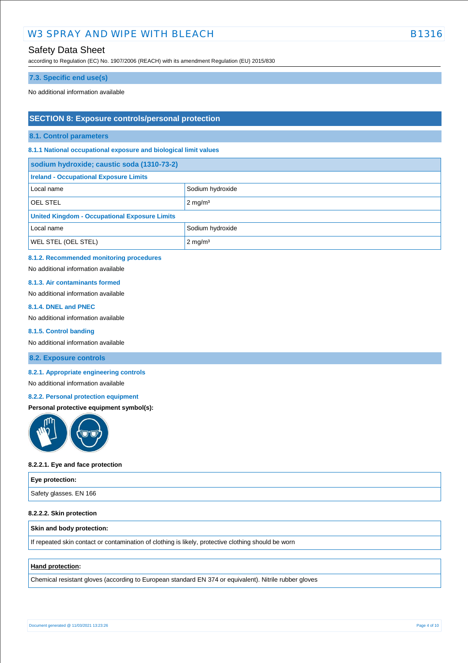# Safety Data Sheet

according to Regulation (EC) No. 1907/2006 (REACH) with its amendment Regulation (EU) 2015/830

#### **7.3. Specific end use(s)**

No additional information available

### **SECTION 8: Exposure controls/personal protection**

**8.1. Control parameters**

**8.1.1 National occupational exposure and biological limit values** 

| sodium hydroxide; caustic soda (1310-73-2)           |                    |  |
|------------------------------------------------------|--------------------|--|
| <b>Ireland - Occupational Exposure Limits</b>        |                    |  |
| Local name                                           | Sodium hydroxide   |  |
| <b>OEL STEL</b>                                      | $2 \text{ mg/m}^3$ |  |
| <b>United Kingdom - Occupational Exposure Limits</b> |                    |  |
| Local name                                           | Sodium hydroxide   |  |
| <b>WEL STEL (OEL STEL)</b>                           | $2 \text{ mg/m}^3$ |  |

#### **8.1.2. Recommended monitoring procedures**

No additional information available

#### **8.1.3. Air contaminants formed**

No additional information available

#### **8.1.4. DNEL and PNEC**

No additional information available

#### **8.1.5. Control banding**

No additional information available

#### **8.2. Exposure controls**

#### **8.2.1. Appropriate engineering controls**

#### No additional information available

#### **8.2.2. Personal protection equipment**

#### **Personal protective equipment symbol(s):**



#### **8.2.2.1. Eye and face protection**

| Eye protection:        |  |
|------------------------|--|
| Safety glasses. EN 166 |  |

#### **8.2.2.2. Skin protection**

#### **Skin and body protection:**

If repeated skin contact or contamination of clothing is likely, protective clothing should be worn

#### **Hand protection:**

Chemical resistant gloves (according to European standard EN 374 or equivalent). Nitrile rubber gloves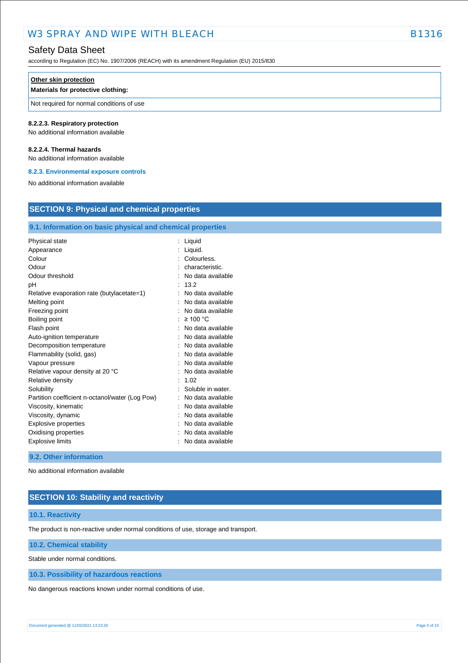# Safety Data Sheet

according to Regulation (EC) No. 1907/2006 (REACH) with its amendment Regulation (EU) 2015/830

#### **Other skin protection**

### **Materials for protective clothing:**

Not required for normal conditions of use

#### **8.2.2.3. Respiratory protection**

No additional information available

#### **8.2.2.4. Thermal hazards**

No additional information available

#### **8.2.3. Environmental exposure controls**

No additional information available

# **SECTION 9: Physical and chemical properties**

### **9.1. Information on basic physical and chemical properties**

| Physical state                                  | Liquid            |
|-------------------------------------------------|-------------------|
| Appearance                                      | Liquid.           |
| Colour                                          | Colourless.       |
| Odour                                           | characteristic.   |
| Odour threshold                                 | No data available |
| рH                                              | 13.2              |
| Relative evaporation rate (butylacetate=1)      | No data available |
| Melting point                                   | No data available |
| Freezing point                                  | No data available |
| Boiling point                                   | $\geq 100$ °C     |
| Flash point                                     | No data available |
| Auto-ignition temperature                       | No data available |
| Decomposition temperature                       | No data available |
| Flammability (solid, gas)                       | No data available |
| Vapour pressure                                 | No data available |
| Relative vapour density at 20 °C                | No data available |
| Relative density                                | 1.02              |
| Solubility                                      | Soluble in water. |
| Partition coefficient n-octanol/water (Log Pow) | No data available |
| Viscosity, kinematic                            | No data available |
| Viscosity, dynamic                              | No data available |
| Explosive properties                            | No data available |
| Oxidising properties                            | No data available |
| <b>Explosive limits</b>                         | No data available |
|                                                 |                   |

#### **9.2. Other information**

No additional information available

### **SECTION 10: Stability and reactivity**

#### **10.1. Reactivity**

The product is non-reactive under normal conditions of use, storage and transport.

#### **10.2. Chemical stability**

Stable under normal conditions.

#### **10.3. Possibility of hazardous reactions**

No dangerous reactions known under normal conditions of use.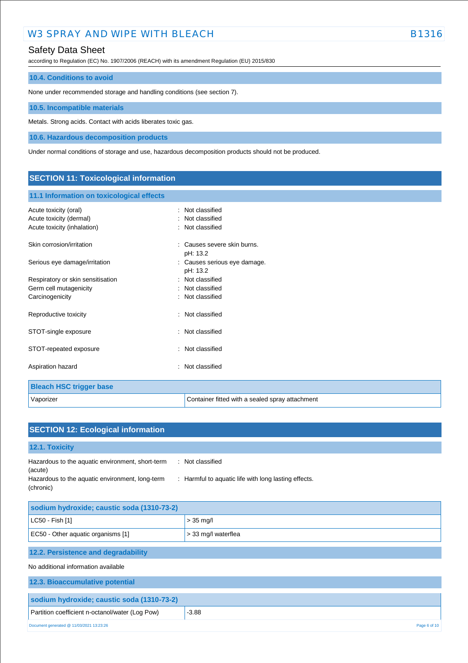# Safety Data Sheet

according to Regulation (EC) No. 1907/2006 (REACH) with its amendment Regulation (EU) 2015/830

#### **10.4. Conditions to avoid**

None under recommended storage and handling conditions (see section 7).

**10.5. Incompatible materials**

Metals. Strong acids. Contact with acids liberates toxic gas.

**10.6. Hazardous decomposition products**

Under normal conditions of storage and use, hazardous decomposition products should not be produced.

# **SECTION 11: Toxicological information**

### **11.1 Information on toxicological effects**

| Acute toxicity (oral)             | : Not classified                                |
|-----------------------------------|-------------------------------------------------|
| Acute toxicity (dermal)           | Not classified                                  |
| Acute toxicity (inhalation)       | : Not classified                                |
| Skin corrosion/irritation         | : Causes severe skin burns.<br>pH: 13.2         |
| Serious eye damage/irritation     | : Causes serious eye damage.<br>pH: 13.2        |
| Respiratory or skin sensitisation | : Not classified                                |
| Germ cell mutagenicity            | : Not classified                                |
| Carcinogenicity                   | : Not classified                                |
| Reproductive toxicity             | : Not classified                                |
| STOT-single exposure              | : Not classified                                |
| STOT-repeated exposure            | : Not classified                                |
| Aspiration hazard                 | : Not classified                                |
| <b>Bleach HSC trigger base</b>    |                                                 |
| Vaporizer                         | Container fitted with a sealed spray attachment |

| <b>SECTION 12: Ecological information</b>                                                                                   |                                                                          |
|-----------------------------------------------------------------------------------------------------------------------------|--------------------------------------------------------------------------|
| 12.1. Toxicity                                                                                                              |                                                                          |
| Hazardous to the aquatic environment, short-term<br>(acute)<br>Hazardous to the aquatic environment, long-term<br>(chronic) | : Not classified<br>: Harmful to aquatic life with long lasting effects. |
| sodium hydroxide; caustic soda (1310-73-2)                                                                                  |                                                                          |
| LC50 - Fish [1]                                                                                                             | $> 35$ mg/l                                                              |
| EC50 - Other aquatic organisms [1]                                                                                          | > 33 mg/l waterflea                                                      |
| 12.2. Persistence and degradability                                                                                         |                                                                          |
| No additional information available                                                                                         |                                                                          |
| 12.3. Bioaccumulative potential                                                                                             |                                                                          |
| sodium hydroxide; caustic soda (1310-73-2)                                                                                  |                                                                          |
| Partition coefficient n-octanol/water (Log Pow)                                                                             | $-3.88$                                                                  |
| Document generated @ 11/03/2021 13:23:26                                                                                    | Page 6 of 10                                                             |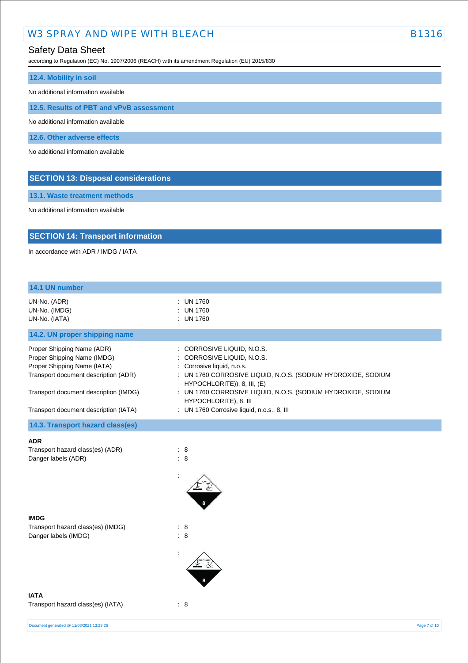# Safety Data Sheet

according to Regulation (EC) No. 1907/2006 (REACH) with its amendment Regulation (EU) 2015/830

| 12.4. Mobility in soil                     |
|--------------------------------------------|
| No additional information available        |
| 12.5. Results of PBT and vPvB assessment   |
| No additional information available        |
| 12.6. Other adverse effects                |
| No additional information available        |
|                                            |
| <b>SECTION 13: Disposal considerations</b> |

**13.1. Waste treatment methods**

No additional information available

# **SECTION 14: Transport information**

In accordance with ADR / IMDG / IATA

| 14.1 UN number                                                                                                                                                                                                     |                                                                                                                                                                                                                                                                                                                              |              |
|--------------------------------------------------------------------------------------------------------------------------------------------------------------------------------------------------------------------|------------------------------------------------------------------------------------------------------------------------------------------------------------------------------------------------------------------------------------------------------------------------------------------------------------------------------|--------------|
| UN-No. (ADR)<br>UN-No. (IMDG)<br>UN-No. (IATA)                                                                                                                                                                     | : UN 1760<br>: UN 1760<br>: UN 1760                                                                                                                                                                                                                                                                                          |              |
| 14.2. UN proper shipping name                                                                                                                                                                                      |                                                                                                                                                                                                                                                                                                                              |              |
| Proper Shipping Name (ADR)<br>Proper Shipping Name (IMDG)<br>Proper Shipping Name (IATA)<br>Transport document description (ADR)<br>Transport document description (IMDG)<br>Transport document description (IATA) | : CORROSIVE LIQUID, N.O.S.<br>: CORROSIVE LIQUID, N.O.S.<br>: Corrosive liquid, n.o.s.<br>: UN 1760 CORROSIVE LIQUID, N.O.S. (SODIUM HYDROXIDE, SODIUM<br>HYPOCHLORITE)), 8, III, (E)<br>: UN 1760 CORROSIVE LIQUID, N.O.S. (SODIUM HYDROXIDE, SODIUM<br>HYPOCHLORITE), 8, III<br>: UN 1760 Corrosive liquid, n.o.s., 8, III |              |
|                                                                                                                                                                                                                    |                                                                                                                                                                                                                                                                                                                              |              |
| 14.3. Transport hazard class(es)                                                                                                                                                                                   |                                                                                                                                                                                                                                                                                                                              |              |
| <b>ADR</b><br>Transport hazard class(es) (ADR)<br>Danger labels (ADR)                                                                                                                                              | : 8<br>$\colon 8$                                                                                                                                                                                                                                                                                                            |              |
| <b>IMDG</b>                                                                                                                                                                                                        |                                                                                                                                                                                                                                                                                                                              |              |
| Transport hazard class(es) (IMDG)<br>Danger labels (IMDG)                                                                                                                                                          | : 8<br>: 8                                                                                                                                                                                                                                                                                                                   |              |
| <b>IATA</b><br>Transport hazard class(es) (IATA)                                                                                                                                                                   | : 8                                                                                                                                                                                                                                                                                                                          |              |
| Document generated @ 11/03/2021 13:23:26                                                                                                                                                                           |                                                                                                                                                                                                                                                                                                                              | Page 7 of 10 |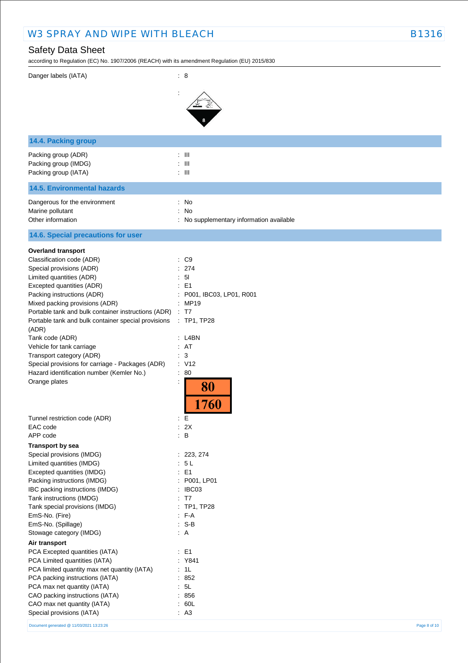# Safety Data Sheet

 $\alpha$  B and  $\alpha$  EC) No. 1907/2009 (REACH) with its amendment Regulation (EU) 2015/9300

| according to Regulation (EC) No. 1907/2006 (REACH) with its amendment Regulation (EO) 2015/630 |                                          |
|------------------------------------------------------------------------------------------------|------------------------------------------|
| Danger labels (IATA)                                                                           | $\therefore$ 8                           |
|                                                                                                |                                          |
|                                                                                                |                                          |
|                                                                                                |                                          |
|                                                                                                |                                          |
| 14.4. Packing group                                                                            |                                          |
| Packing group (ADR)                                                                            | $: \mathbb{H}$                           |
| Packing group (IMDG)                                                                           | $\therefore$ III                         |
| Packing group (IATA)                                                                           | $\pm$ 111                                |
| <b>14.5. Environmental hazards</b>                                                             |                                          |
| Dangerous for the environment                                                                  | : No                                     |
| Marine pollutant                                                                               | ÷<br>No                                  |
| Other information                                                                              | : No supplementary information available |
| 14.6. Special precautions for user                                                             |                                          |
| <b>Overland transport</b>                                                                      |                                          |
| Classification code (ADR)                                                                      | : C9                                     |
| Special provisions (ADR)                                                                       | : 274<br>5 <sub>l</sub>                  |
| Limited quantities (ADR)<br>Excepted quantities (ADR)                                          | ÷<br>E <sub>1</sub>                      |
| Packing instructions (ADR)                                                                     | P001, IBC03, LP01, R001                  |
| Mixed packing provisions (ADR)                                                                 | : MP19                                   |
| Portable tank and bulk container instructions (ADR)                                            | $\therefore$ T7                          |
| Portable tank and bulk container special provisions                                            | $\therefore$ TP1, TP28                   |
| (ADR)                                                                                          |                                          |
| Tank code (ADR)                                                                                | $:$ L4BN                                 |
| Vehicle for tank carriage                                                                      | : AT                                     |
| Transport category (ADR)                                                                       | 3<br>÷.                                  |
| Special provisions for carriage - Packages (ADR)                                               | : V12                                    |
| Hazard identification number (Kemler No.)                                                      | : 80                                     |
| Orange plates                                                                                  | $\ddot{\cdot}$<br>80                     |
|                                                                                                |                                          |
|                                                                                                | 760                                      |
| Tunnel restriction code (ADR)                                                                  | : E                                      |
| EAC code                                                                                       | : 2X                                     |
| APP code                                                                                       | $\therefore$ B                           |
| <b>Transport by sea</b>                                                                        |                                          |
| Special provisions (IMDG)                                                                      | : 223, 274                               |
| Limited quantities (IMDG)                                                                      | : 5L                                     |
| Excepted quantities (IMDG)                                                                     | : E1                                     |
| Packing instructions (IMDG)                                                                    | : P001, LP01                             |
| IBC packing instructions (IMDG)                                                                | : IBCO3                                  |
| Tank instructions (IMDG)                                                                       | : T7                                     |
| Tank special provisions (IMDG)                                                                 | : TP1, TP28                              |
| EmS-No. (Fire)                                                                                 | $F-A$                                    |
| EmS-No. (Spillage)                                                                             | $: S-B$                                  |
| Stowage category (IMDG)                                                                        | $\therefore$ A                           |
| Air transport                                                                                  |                                          |
| PCA Excepted quantities (IATA)                                                                 | $\therefore$ E1                          |
| PCA Limited quantities (IATA)                                                                  | : Y841                                   |
| PCA limited quantity max net quantity (IATA)                                                   | : 1L                                     |
| PCA packing instructions (IATA)                                                                | : 852<br>5L                              |
| PCA max net quantity (IATA)<br>CAO packing instructions (IATA)                                 | : 856                                    |
| CAO max net quantity (IATA)                                                                    | : 60L                                    |
| Special provisions (IATA)                                                                      | : A3                                     |
|                                                                                                |                                          |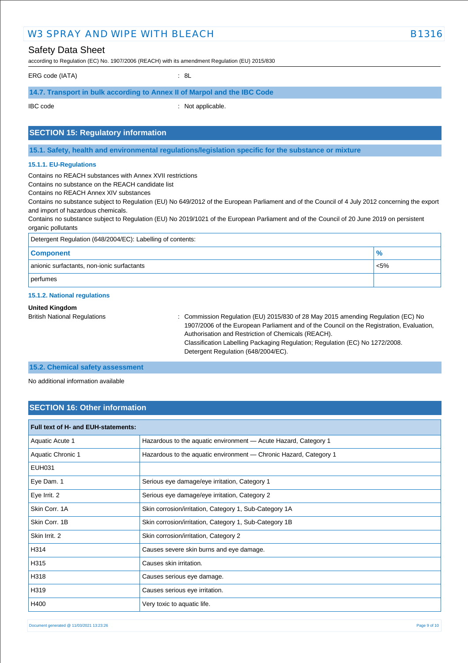| <b>Safety Data Sheet</b>                                                                                                                                                                                             | according to Regulation (EC) No. 1907/2006 (REACH) with its amendment Regulation (EU) 2015/830                                                                                                                                                                                               |                                                                                  |  |
|----------------------------------------------------------------------------------------------------------------------------------------------------------------------------------------------------------------------|----------------------------------------------------------------------------------------------------------------------------------------------------------------------------------------------------------------------------------------------------------------------------------------------|----------------------------------------------------------------------------------|--|
| ERG code (IATA)                                                                                                                                                                                                      | : 8L                                                                                                                                                                                                                                                                                         |                                                                                  |  |
|                                                                                                                                                                                                                      | 14.7. Transport in bulk according to Annex II of Marpol and the IBC Code                                                                                                                                                                                                                     |                                                                                  |  |
| <b>IBC</b> code                                                                                                                                                                                                      | : Not applicable.                                                                                                                                                                                                                                                                            |                                                                                  |  |
| <b>SECTION 15: Regulatory information</b>                                                                                                                                                                            |                                                                                                                                                                                                                                                                                              |                                                                                  |  |
|                                                                                                                                                                                                                      | 15.1. Safety, health and environmental regulations/legislation specific for the substance or mixture                                                                                                                                                                                         |                                                                                  |  |
| 15.1.1. EU-Regulations                                                                                                                                                                                               |                                                                                                                                                                                                                                                                                              |                                                                                  |  |
| Contains no REACH substances with Annex XVII restrictions<br>Contains no substance on the REACH candidate list<br>Contains no REACH Annex XIV substances<br>and import of hazardous chemicals.<br>organic pollutants | Contains no substance subject to Regulation (EU) No 649/2012 of the European Parliament and of the Council of 4 July 2012 concerning the export<br>Contains no substance subject to Regulation (EU) No 2019/1021 of the European Parliament and of the Council of 20 June 2019 on persistent |                                                                                  |  |
| Detergent Regulation (648/2004/EC): Labelling of contents:                                                                                                                                                           |                                                                                                                                                                                                                                                                                              |                                                                                  |  |
| <b>Component</b>                                                                                                                                                                                                     | $\frac{9}{6}$                                                                                                                                                                                                                                                                                |                                                                                  |  |
| anionic surfactants, non-ionic surfactants<br>$< 5\%$                                                                                                                                                                |                                                                                                                                                                                                                                                                                              |                                                                                  |  |
| perfumes                                                                                                                                                                                                             |                                                                                                                                                                                                                                                                                              |                                                                                  |  |
| 15.1.2. National regulations                                                                                                                                                                                         |                                                                                                                                                                                                                                                                                              |                                                                                  |  |
| <b>United Kingdom</b><br><b>British National Regulations</b>                                                                                                                                                         |                                                                                                                                                                                                                                                                                              | : Commission Regulation (EU) 2015/830 of 28 May 2015 amending Regulation (EC) No |  |

Authorisation and Restriction of Chemicals (REACH).

Detergent Regulation (648/2004/EC).

1907/2006 of the European Parliament and of the Council on the Registration, Evaluation,

Classification Labelling Packaging Regulation; Regulation (EC) No 1272/2008.

**15.2. Chemical safety assessment**

No additional information available

# **SECTION 16: Other information**

| Full text of H- and EUH-statements: |                                                                   |
|-------------------------------------|-------------------------------------------------------------------|
| Aquatic Acute 1                     | Hazardous to the aquatic environment - Acute Hazard, Category 1   |
| Aquatic Chronic 1                   | Hazardous to the aquatic environment - Chronic Hazard, Category 1 |
| <b>EUH031</b>                       |                                                                   |
| Eye Dam. 1                          | Serious eye damage/eye irritation, Category 1                     |
| Eye Irrit. 2                        | Serious eye damage/eye irritation, Category 2                     |
| Skin Corr. 1A                       | Skin corrosion/irritation, Category 1, Sub-Category 1A            |
| Skin Corr. 1B                       | Skin corrosion/irritation, Category 1, Sub-Category 1B            |
| Skin Irrit, 2                       | Skin corrosion/irritation, Category 2                             |
| H314                                | Causes severe skin burns and eye damage.                          |
| H315                                | Causes skin irritation.                                           |
| H318                                | Causes serious eye damage.                                        |
| H319                                | Causes serious eye irritation.                                    |
| H400                                | Very toxic to aquatic life.                                       |